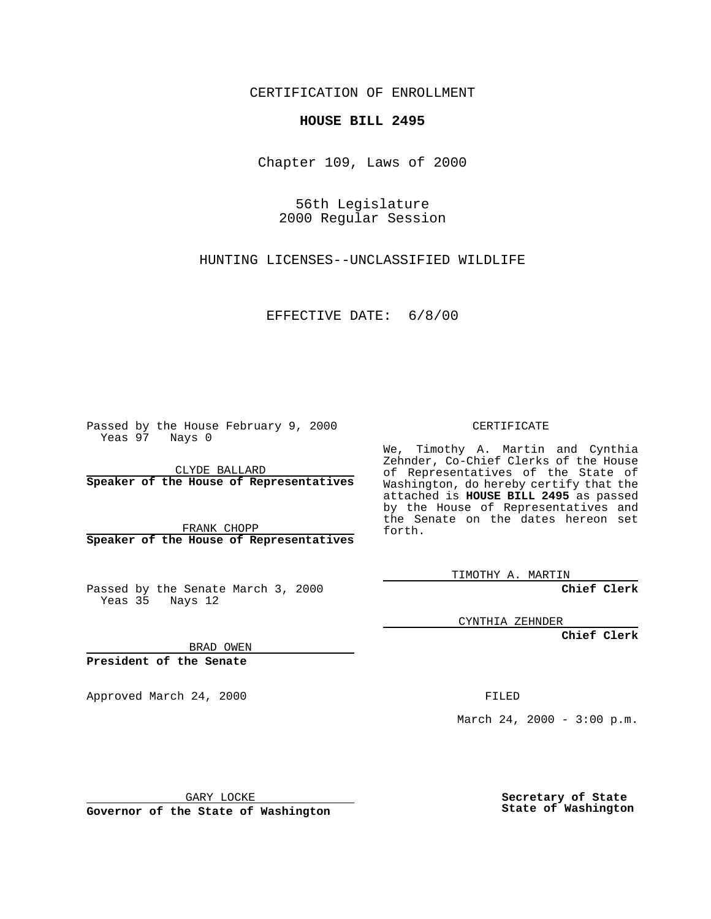CERTIFICATION OF ENROLLMENT

## **HOUSE BILL 2495**

Chapter 109, Laws of 2000

56th Legislature 2000 Regular Session

HUNTING LICENSES--UNCLASSIFIED WILDLIFE

EFFECTIVE DATE: 6/8/00

Passed by the House February 9, 2000 Yeas 97 Nays 0

CLYDE BALLARD **Speaker of the House of Representatives**

FRANK CHOPP **Speaker of the House of Representatives**

Passed by the Senate March 3, 2000 Yeas 35 Nays 12

CERTIFICATE

We, Timothy A. Martin and Cynthia Zehnder, Co-Chief Clerks of the House of Representatives of the State of Washington, do hereby certify that the attached is **HOUSE BILL 2495** as passed by the House of Representatives and the Senate on the dates hereon set forth.

TIMOTHY A. MARTIN

**Chief Clerk**

CYNTHIA ZEHNDER

**Chief Clerk**

BRAD OWEN

**President of the Senate**

Approved March 24, 2000 FILED

March 24, 2000 - 3:00 p.m.

GARY LOCKE

**Governor of the State of Washington**

**Secretary of State State of Washington**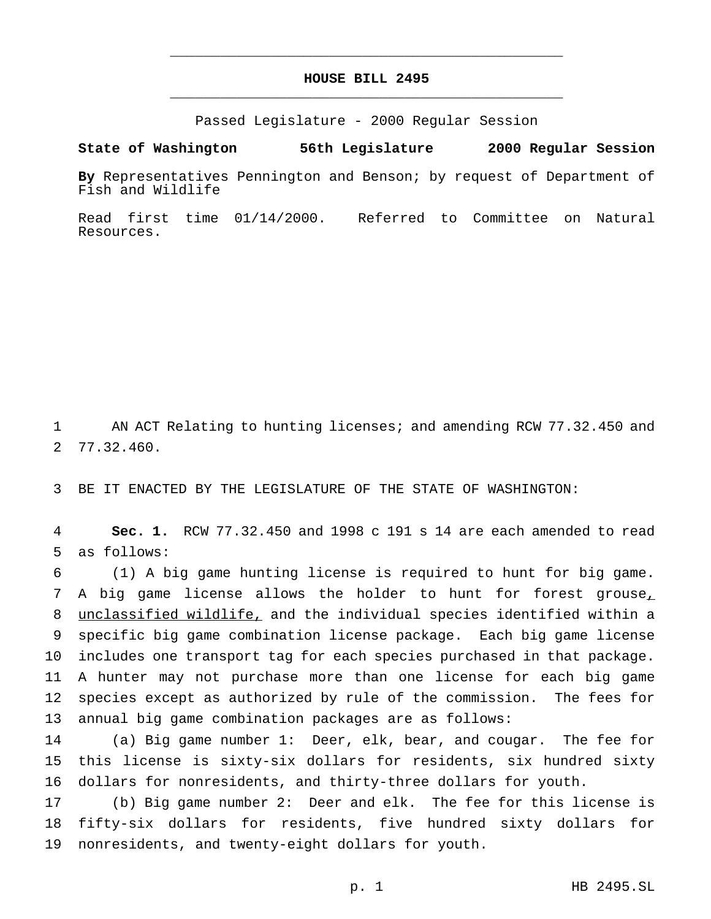## **HOUSE BILL 2495** \_\_\_\_\_\_\_\_\_\_\_\_\_\_\_\_\_\_\_\_\_\_\_\_\_\_\_\_\_\_\_\_\_\_\_\_\_\_\_\_\_\_\_\_\_\_\_

\_\_\_\_\_\_\_\_\_\_\_\_\_\_\_\_\_\_\_\_\_\_\_\_\_\_\_\_\_\_\_\_\_\_\_\_\_\_\_\_\_\_\_\_\_\_\_

Passed Legislature - 2000 Regular Session

## **State of Washington 56th Legislature 2000 Regular Session**

**By** Representatives Pennington and Benson; by request of Department of Fish and Wildlife

Read first time 01/14/2000. Referred to Committee on Natural Resources.

 AN ACT Relating to hunting licenses; and amending RCW 77.32.450 and 77.32.460.

BE IT ENACTED BY THE LEGISLATURE OF THE STATE OF WASHINGTON:

 **Sec. 1.** RCW 77.32.450 and 1998 c 191 s 14 are each amended to read as follows:

 (1) A big game hunting license is required to hunt for big game. 7 A big game license allows the holder to hunt for forest grouse<sub>+</sub> unclassified wildlife, and the individual species identified within a specific big game combination license package. Each big game license includes one transport tag for each species purchased in that package. A hunter may not purchase more than one license for each big game species except as authorized by rule of the commission. The fees for annual big game combination packages are as follows:

 (a) Big game number 1: Deer, elk, bear, and cougar. The fee for this license is sixty-six dollars for residents, six hundred sixty dollars for nonresidents, and thirty-three dollars for youth.

 (b) Big game number 2: Deer and elk. The fee for this license is fifty-six dollars for residents, five hundred sixty dollars for nonresidents, and twenty-eight dollars for youth.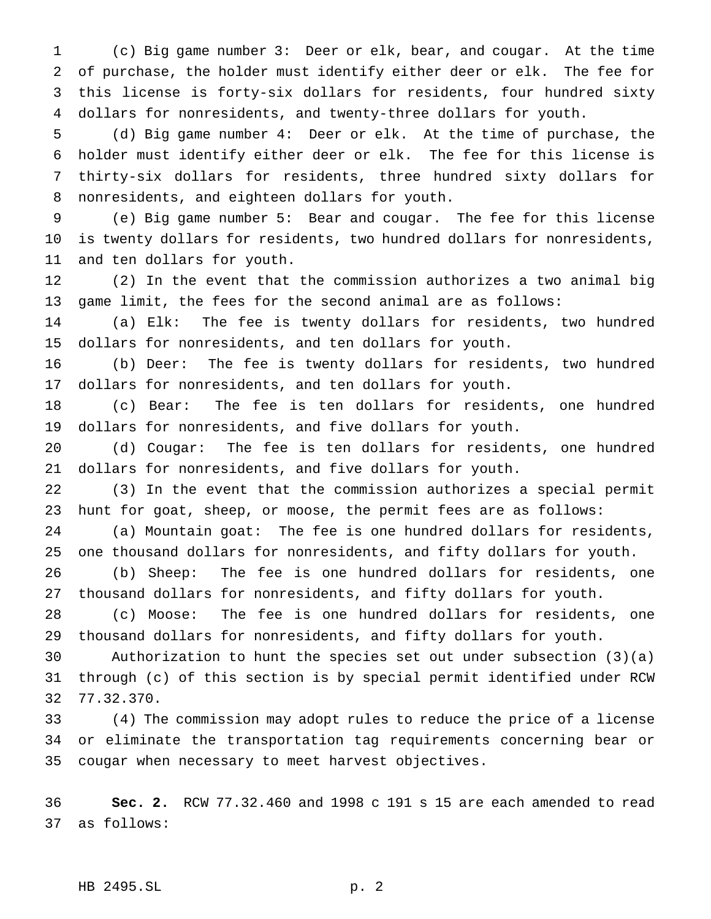(c) Big game number 3: Deer or elk, bear, and cougar. At the time of purchase, the holder must identify either deer or elk. The fee for this license is forty-six dollars for residents, four hundred sixty dollars for nonresidents, and twenty-three dollars for youth.

 (d) Big game number 4: Deer or elk. At the time of purchase, the holder must identify either deer or elk. The fee for this license is thirty-six dollars for residents, three hundred sixty dollars for nonresidents, and eighteen dollars for youth.

 (e) Big game number 5: Bear and cougar. The fee for this license is twenty dollars for residents, two hundred dollars for nonresidents, and ten dollars for youth.

 (2) In the event that the commission authorizes a two animal big game limit, the fees for the second animal are as follows:

 (a) Elk: The fee is twenty dollars for residents, two hundred dollars for nonresidents, and ten dollars for youth.

 (b) Deer: The fee is twenty dollars for residents, two hundred dollars for nonresidents, and ten dollars for youth.

 (c) Bear: The fee is ten dollars for residents, one hundred dollars for nonresidents, and five dollars for youth.

 (d) Cougar: The fee is ten dollars for residents, one hundred dollars for nonresidents, and five dollars for youth.

 (3) In the event that the commission authorizes a special permit hunt for goat, sheep, or moose, the permit fees are as follows:

 (a) Mountain goat: The fee is one hundred dollars for residents, one thousand dollars for nonresidents, and fifty dollars for youth.

 (b) Sheep: The fee is one hundred dollars for residents, one thousand dollars for nonresidents, and fifty dollars for youth.

 (c) Moose: The fee is one hundred dollars for residents, one thousand dollars for nonresidents, and fifty dollars for youth.

 Authorization to hunt the species set out under subsection (3)(a) through (c) of this section is by special permit identified under RCW 77.32.370.

 (4) The commission may adopt rules to reduce the price of a license or eliminate the transportation tag requirements concerning bear or cougar when necessary to meet harvest objectives.

 **Sec. 2.** RCW 77.32.460 and 1998 c 191 s 15 are each amended to read as follows:

HB 2495.SL p. 2